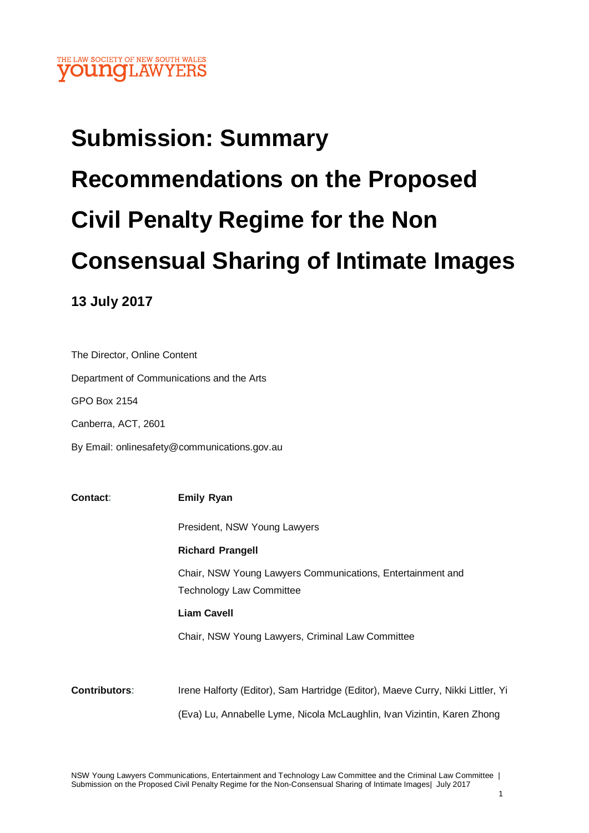# **Submission: Summary Recommendations on the Proposed Civil Penalty Regime for the Non Consensual Sharing of Intimate Images**

# **13 July 2017**

The Director, Online Content Department of Communications and the Arts GPO Box 2154 Canberra, ACT, 2601 By Email: onlinesafety@communications.gov.au

**Contact: Emily Ryan** President, NSW Young Lawyers **Richard Prangell** Chair, NSW Young Lawyers Communications, Entertainment and Technology Law Committee **Liam Cavell** Chair, NSW Young Lawyers, Criminal Law Committee **Contributors:** Irene Halforty (Editor), Sam Hartridge (Editor), Maeve Curry, Nikki Littler, Yi (Eva) Lu, Annabelle Lyme, Nicola McLaughlin, Ivan Vizintin, Karen Zhong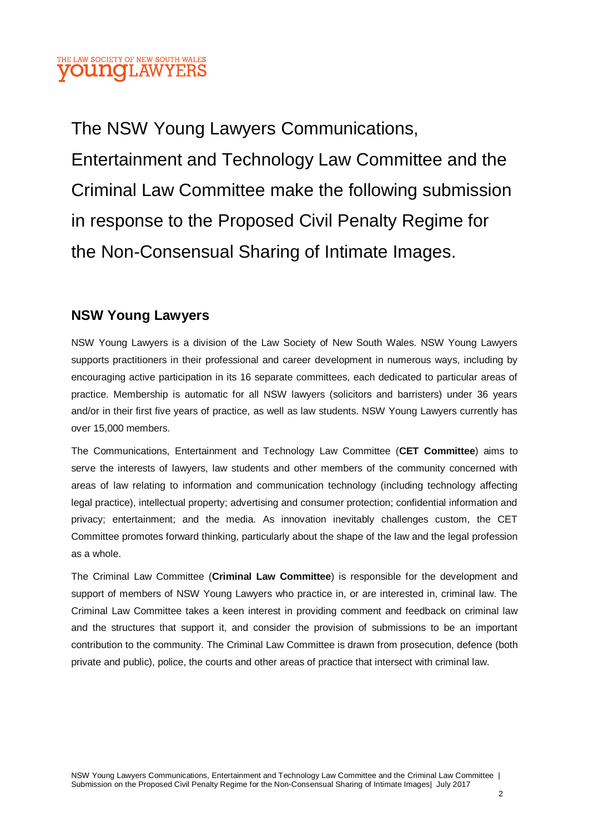## THE LAW SOCIETY OF NEW SOUTH WALES **OUNOI AWYE**

The NSW Young Lawyers Communications, Entertainment and Technology Law Committee and the Criminal Law Committee make the following submission in response to the Proposed Civil Penalty Regime for the Non-Consensual Sharing of Intimate Images.

## **NSW Young Lawyers**

NSW Young Lawyers is a division of the Law Society of New South Wales. NSW Young Lawyers supports practitioners in their professional and career development in numerous ways, including by encouraging active participation in its 16 separate committees, each dedicated to particular areas of practice. Membership is automatic for all NSW lawyers (solicitors and barristers) under 36 years and/or in their first five years of practice, as well as law students. NSW Young Lawyers currently has over 15,000 members.

The Communications, Entertainment and Technology Law Committee (**CET Committee**) aims to serve the interests of lawyers, law students and other members of the community concerned with areas of law relating to information and communication technology (including technology affecting legal practice), intellectual property; advertising and consumer protection; confidential information and privacy; entertainment; and the media. As innovation inevitably challenges custom, the CET Committee promotes forward thinking, particularly about the shape of the law and the legal profession as a whole.

The Criminal Law Committee (**Criminal Law Committee**) is responsible for the development and support of members of NSW Young Lawyers who practice in, or are interested in, criminal law. The Criminal Law Committee takes a keen interest in providing comment and feedback on criminal law and the structures that support it, and consider the provision of submissions to be an important contribution to the community. The Criminal Law Committee is drawn from prosecution, defence (both private and public), police, the courts and other areas of practice that intersect with criminal law.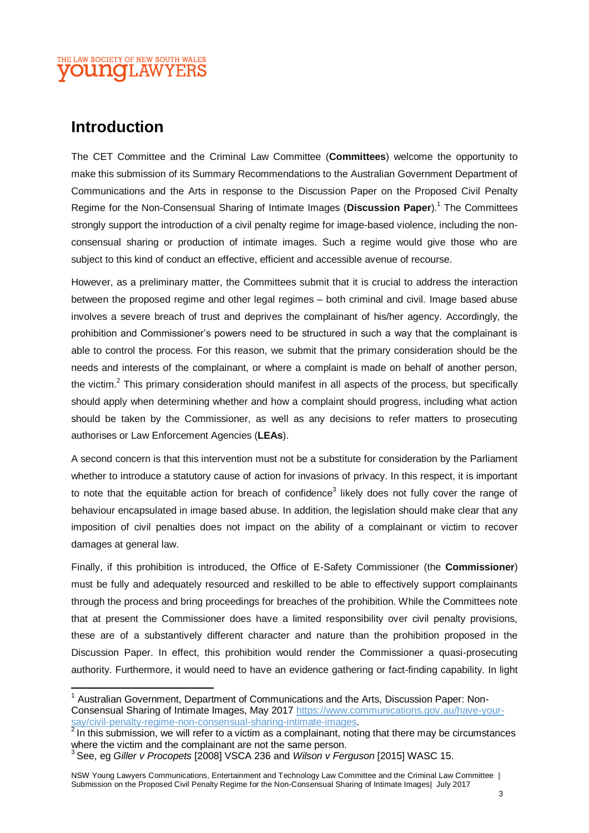#### THE LAW SOCIETY OF NEW SOUTH WALES **OUINOII.AW**

# **Introduction**

 $\overline{\phantom{a}}$ 

The CET Committee and the Criminal Law Committee (**Committees**) welcome the opportunity to make this submission of its Summary Recommendations to the Australian Government Department of Communications and the Arts in response to the Discussion Paper on the Proposed Civil Penalty Regime for the Non-Consensual Sharing of Intimate Images (Discussion Paper).<sup>1</sup> The Committees strongly support the introduction of a civil penalty regime for image-based violence, including the nonconsensual sharing or production of intimate images. Such a regime would give those who are subject to this kind of conduct an effective, efficient and accessible avenue of recourse.

However, as a preliminary matter, the Committees submit that it is crucial to address the interaction between the proposed regime and other legal regimes – both criminal and civil. Image based abuse involves a severe breach of trust and deprives the complainant of his/her agency. Accordingly, the prohibition and Commissioner's powers need to be structured in such a way that the complainant is able to control the process. For this reason, we submit that the primary consideration should be the needs and interests of the complainant, or where a complaint is made on behalf of another person, the victim.<sup>2</sup> This primary consideration should manifest in all aspects of the process, but specifically should apply when determining whether and how a complaint should progress, including what action should be taken by the Commissioner, as well as any decisions to refer matters to prosecuting authorises or Law Enforcement Agencies (**LEAs**).

A second concern is that this intervention must not be a substitute for consideration by the Parliament whether to introduce a statutory cause of action for invasions of privacy. In this respect, it is important to note that the equitable action for breach of confidence<sup>3</sup> likely does not fully cover the range of behaviour encapsulated in image based abuse. In addition, the legislation should make clear that any imposition of civil penalties does not impact on the ability of a complainant or victim to recover damages at general law.

Finally, if this prohibition is introduced, the Office of E-Safety Commissioner (the **Commissioner**) must be fully and adequately resourced and reskilled to be able to effectively support complainants through the process and bring proceedings for breaches of the prohibition. While the Committees note that at present the Commissioner does have a limited responsibility over civil penalty provisions, these are of a substantively different character and nature than the prohibition proposed in the Discussion Paper. In effect, this prohibition would render the Commissioner a quasi-prosecuting authority. Furthermore, it would need to have an evidence gathering or fact-finding capability. In light

<sup>&</sup>lt;sup>1</sup> Australian Government, Department of Communications and the Arts, Discussion Paper: Non-Consensual Sharing of Intimate Images, May 2017 [https://www.communications.gov.au/have-your](https://www.communications.gov.au/have-your-say/civil-penalty-regime-non-consensual-sharing-intimate-images)[say/civil-penalty-regime-non-consensual-sharing-intimate-images.](https://www.communications.gov.au/have-your-say/civil-penalty-regime-non-consensual-sharing-intimate-images)

 $2$  In this submission, we will refer to a victim as a complainant, noting that there may be circumstances where the victim and the complainant are not the same person. 3 See, eg *Giller v Procopets* [2008] VSCA 236 and *Wilson v Ferguson* [2015] WASC 15.

NSW Young Lawyers Communications, Entertainment and Technology Law Committee and the Criminal Law Committee | Submission on the Proposed Civil Penalty Regime for the Non-Consensual Sharing of Intimate Images| July 2017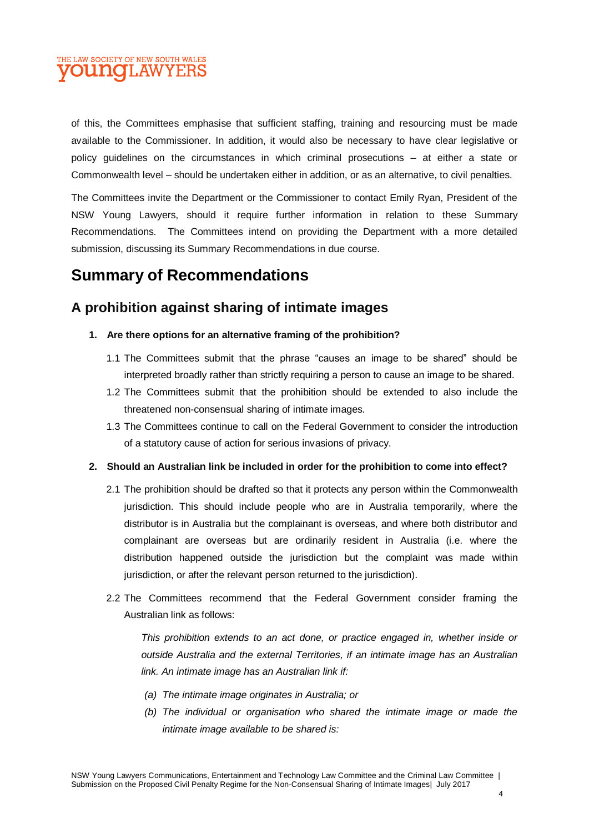## THE LAW SOCIETY OF NEW SOUTH WALES **OUNOLAWYERS**

of this, the Committees emphasise that sufficient staffing, training and resourcing must be made available to the Commissioner. In addition, it would also be necessary to have clear legislative or policy guidelines on the circumstances in which criminal prosecutions – at either a state or Commonwealth level – should be undertaken either in addition, or as an alternative, to civil penalties.

The Committees invite the Department or the Commissioner to contact Emily Ryan, President of the NSW Young Lawyers, should it require further information in relation to these Summary Recommendations. The Committees intend on providing the Department with a more detailed submission, discussing its Summary Recommendations in due course.

# **Summary of Recommendations**

# **A prohibition against sharing of intimate images**

- **1. Are there options for an alternative framing of the prohibition?**
	- 1.1 The Committees submit that the phrase "causes an image to be shared" should be interpreted broadly rather than strictly requiring a person to cause an image to be shared.
	- 1.2 The Committees submit that the prohibition should be extended to also include the threatened non-consensual sharing of intimate images.
	- 1.3 The Committees continue to call on the Federal Government to consider the introduction of a statutory cause of action for serious invasions of privacy.
- **2. Should an Australian link be included in order for the prohibition to come into effect?**
	- 2.1 The prohibition should be drafted so that it protects any person within the Commonwealth jurisdiction. This should include people who are in Australia temporarily, where the distributor is in Australia but the complainant is overseas, and where both distributor and complainant are overseas but are ordinarily resident in Australia (i.e. where the distribution happened outside the jurisdiction but the complaint was made within jurisdiction, or after the relevant person returned to the jurisdiction).
	- 2.2 The Committees recommend that the Federal Government consider framing the Australian link as follows:

*This prohibition extends to an act done, or practice engaged in, whether inside or outside Australia and the external Territories, if an intimate image has an Australian link. An intimate image has an Australian link if:*

- *(a) The intimate image originates in Australia; or*
- *(b) The individual or organisation who shared the intimate image or made the intimate image available to be shared is:*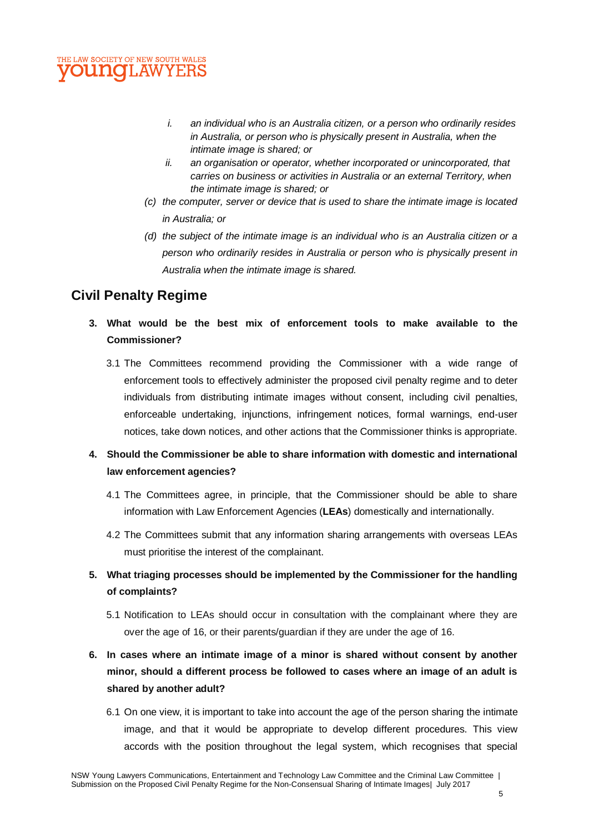#### THE LAW SOCIETY OF NEW SOUTH WALES **DUNCI.AWYE**

- *i. an individual who is an Australia citizen, or a person who ordinarily resides in Australia, or person who is physically present in Australia, when the intimate image is shared; or*
- *ii. an organisation or operator, whether incorporated or unincorporated, that carries on business or activities in Australia or an external Territory, when the intimate image is shared; or*
- *(c) the computer, server or device that is used to share the intimate image is located in Australia; or*
- *(d) the subject of the intimate image is an individual who is an Australia citizen or a person who ordinarily resides in Australia or person who is physically present in Australia when the intimate image is shared.*

## **Civil Penalty Regime**

- **3. What would be the best mix of enforcement tools to make available to the Commissioner?**
	- 3.1 The Committees recommend providing the Commissioner with a wide range of enforcement tools to effectively administer the proposed civil penalty regime and to deter individuals from distributing intimate images without consent, including civil penalties, enforceable undertaking, injunctions, infringement notices, formal warnings, end-user notices, take down notices, and other actions that the Commissioner thinks is appropriate.
- **4. Should the Commissioner be able to share information with domestic and international law enforcement agencies?**
	- 4.1 The Committees agree, in principle, that the Commissioner should be able to share information with Law Enforcement Agencies (**LEAs**) domestically and internationally.
	- 4.2 The Committees submit that any information sharing arrangements with overseas LEAs must prioritise the interest of the complainant.
- **5. What triaging processes should be implemented by the Commissioner for the handling of complaints?**
	- 5.1 Notification to LEAs should occur in consultation with the complainant where they are over the age of 16, or their parents/guardian if they are under the age of 16.
- **6. In cases where an intimate image of a minor is shared without consent by another minor, should a different process be followed to cases where an image of an adult is shared by another adult?**
	- 6.1 On one view, it is important to take into account the age of the person sharing the intimate image, and that it would be appropriate to develop different procedures. This view accords with the position throughout the legal system, which recognises that special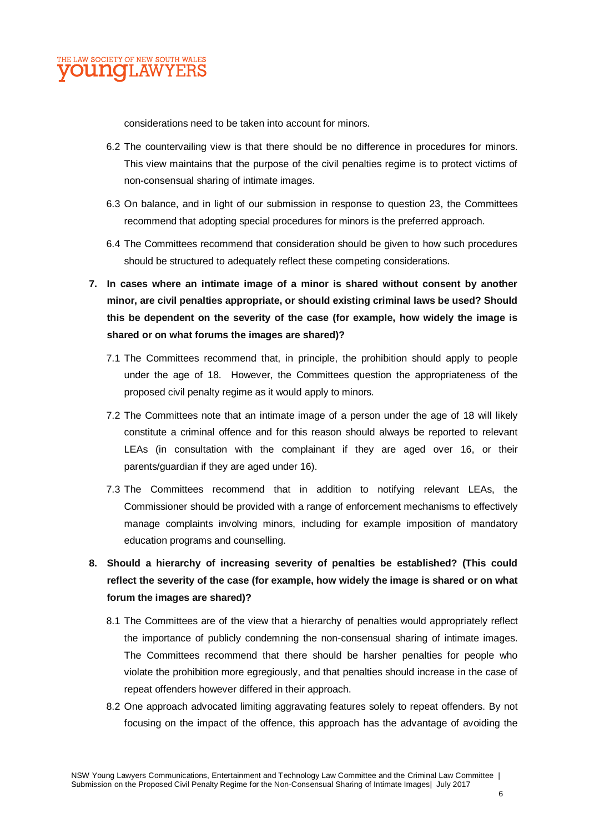

considerations need to be taken into account for minors.

- 6.2 The countervailing view is that there should be no difference in procedures for minors. This view maintains that the purpose of the civil penalties regime is to protect victims of non-consensual sharing of intimate images.
- 6.3 On balance, and in light of our submission in response to question 23, the Committees recommend that adopting special procedures for minors is the preferred approach.
- 6.4 The Committees recommend that consideration should be given to how such procedures should be structured to adequately reflect these competing considerations.
- **7. In cases where an intimate image of a minor is shared without consent by another minor, are civil penalties appropriate, or should existing criminal laws be used? Should this be dependent on the severity of the case (for example, how widely the image is shared or on what forums the images are shared)?**
	- 7.1 The Committees recommend that, in principle, the prohibition should apply to people under the age of 18. However, the Committees question the appropriateness of the proposed civil penalty regime as it would apply to minors.
	- 7.2 The Committees note that an intimate image of a person under the age of 18 will likely constitute a criminal offence and for this reason should always be reported to relevant LEAs (in consultation with the complainant if they are aged over 16, or their parents/guardian if they are aged under 16).
	- 7.3 The Committees recommend that in addition to notifying relevant LEAs, the Commissioner should be provided with a range of enforcement mechanisms to effectively manage complaints involving minors, including for example imposition of mandatory education programs and counselling.
- **8. Should a hierarchy of increasing severity of penalties be established? (This could reflect the severity of the case (for example, how widely the image is shared or on what forum the images are shared)?**
	- 8.1 The Committees are of the view that a hierarchy of penalties would appropriately reflect the importance of publicly condemning the non-consensual sharing of intimate images. The Committees recommend that there should be harsher penalties for people who violate the prohibition more egregiously, and that penalties should increase in the case of repeat offenders however differed in their approach.
	- 8.2 One approach advocated limiting aggravating features solely to repeat offenders. By not focusing on the impact of the offence, this approach has the advantage of avoiding the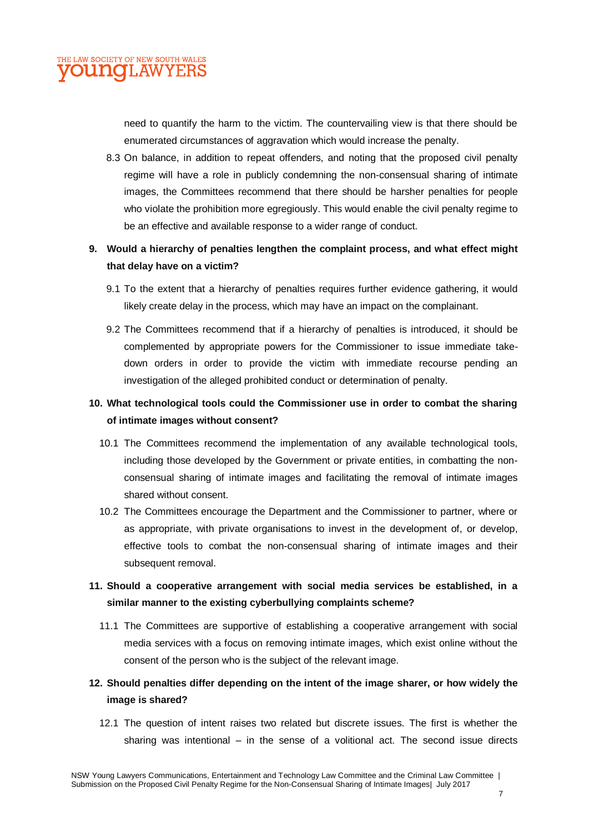

need to quantify the harm to the victim. The countervailing view is that there should be enumerated circumstances of aggravation which would increase the penalty.

8.3 On balance, in addition to repeat offenders, and noting that the proposed civil penalty regime will have a role in publicly condemning the non-consensual sharing of intimate images, the Committees recommend that there should be harsher penalties for people who violate the prohibition more egregiously. This would enable the civil penalty regime to be an effective and available response to a wider range of conduct.

#### **9. Would a hierarchy of penalties lengthen the complaint process, and what effect might that delay have on a victim?**

- 9.1 To the extent that a hierarchy of penalties requires further evidence gathering, it would likely create delay in the process, which may have an impact on the complainant.
- 9.2 The Committees recommend that if a hierarchy of penalties is introduced, it should be complemented by appropriate powers for the Commissioner to issue immediate takedown orders in order to provide the victim with immediate recourse pending an investigation of the alleged prohibited conduct or determination of penalty.

#### **10. What technological tools could the Commissioner use in order to combat the sharing of intimate images without consent?**

- 10.1 The Committees recommend the implementation of any available technological tools, including those developed by the Government or private entities, in combatting the nonconsensual sharing of intimate images and facilitating the removal of intimate images shared without consent.
- 10.2 The Committees encourage the Department and the Commissioner to partner, where or as appropriate, with private organisations to invest in the development of, or develop, effective tools to combat the non-consensual sharing of intimate images and their subsequent removal.

## **11. Should a cooperative arrangement with social media services be established, in a similar manner to the existing cyberbullying complaints scheme?**

- 11.1 The Committees are supportive of establishing a cooperative arrangement with social media services with a focus on removing intimate images, which exist online without the consent of the person who is the subject of the relevant image.
- **12. Should penalties differ depending on the intent of the image sharer, or how widely the image is shared?**
	- 12.1 The question of intent raises two related but discrete issues. The first is whether the sharing was intentional – in the sense of a volitional act. The second issue directs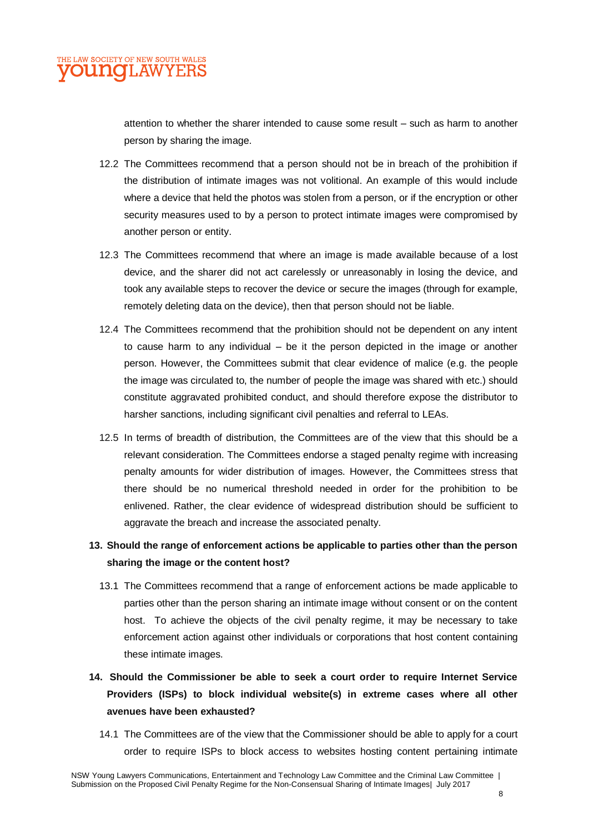attention to whether the sharer intended to cause some result – such as harm to another person by sharing the image.

- 12.2 The Committees recommend that a person should not be in breach of the prohibition if the distribution of intimate images was not volitional. An example of this would include where a device that held the photos was stolen from a person, or if the encryption or other security measures used to by a person to protect intimate images were compromised by another person or entity.
- 12.3 The Committees recommend that where an image is made available because of a lost device, and the sharer did not act carelessly or unreasonably in losing the device, and took any available steps to recover the device or secure the images (through for example, remotely deleting data on the device), then that person should not be liable.
- 12.4 The Committees recommend that the prohibition should not be dependent on any intent to cause harm to any individual – be it the person depicted in the image or another person. However, the Committees submit that clear evidence of malice (e.g. the people the image was circulated to, the number of people the image was shared with etc.) should constitute aggravated prohibited conduct, and should therefore expose the distributor to harsher sanctions, including significant civil penalties and referral to LEAs.
- 12.5 In terms of breadth of distribution, the Committees are of the view that this should be a relevant consideration. The Committees endorse a staged penalty regime with increasing penalty amounts for wider distribution of images. However, the Committees stress that there should be no numerical threshold needed in order for the prohibition to be enlivened. Rather, the clear evidence of widespread distribution should be sufficient to aggravate the breach and increase the associated penalty.

## **13. Should the range of enforcement actions be applicable to parties other than the person sharing the image or the content host?**

- 13.1 The Committees recommend that a range of enforcement actions be made applicable to parties other than the person sharing an intimate image without consent or on the content host. To achieve the objects of the civil penalty regime, it may be necessary to take enforcement action against other individuals or corporations that host content containing these intimate images.
- **14. Should the Commissioner be able to seek a court order to require Internet Service Providers (ISPs) to block individual website(s) in extreme cases where all other avenues have been exhausted?**
	- 14.1 The Committees are of the view that the Commissioner should be able to apply for a court order to require ISPs to block access to websites hosting content pertaining intimate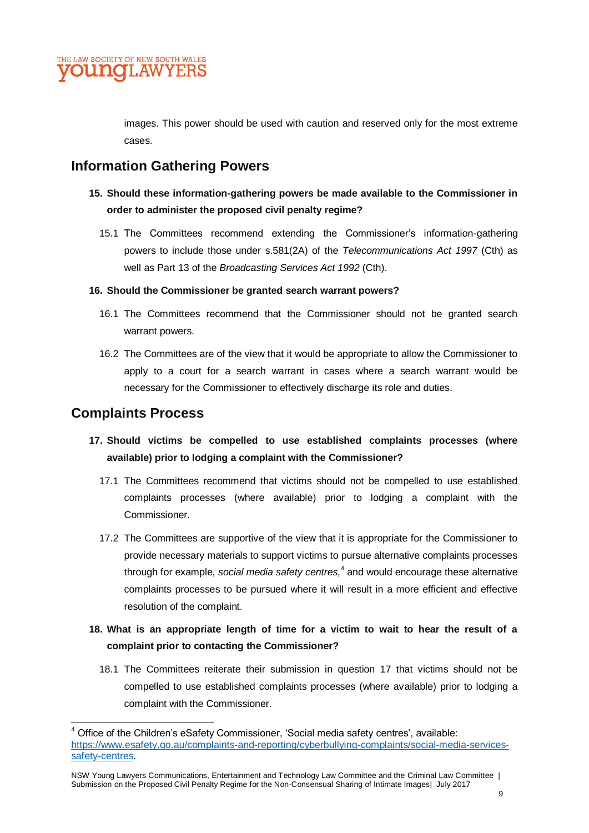images. This power should be used with caution and reserved only for the most extreme cases.

# **Information Gathering Powers**

- **15. Should these information-gathering powers be made available to the Commissioner in order to administer the proposed civil penalty regime?**
	- 15.1 The Committees recommend extending the Commissioner's information-gathering powers to include those under s.581(2A) of the *Telecommunications Act 1997* (Cth) as well as Part 13 of the *Broadcasting Services Act 1992* (Cth).

#### **16. Should the Commissioner be granted search warrant powers?**

- 16.1 The Committees recommend that the Commissioner should not be granted search warrant powers.
- 16.2 The Committees are of the view that it would be appropriate to allow the Commissioner to apply to a court for a search warrant in cases where a search warrant would be necessary for the Commissioner to effectively discharge its role and duties.

## **Complaints Process**

- **17. Should victims be compelled to use established complaints processes (where available) prior to lodging a complaint with the Commissioner?**
	- 17.1 The Committees recommend that victims should not be compelled to use established complaints processes (where available) prior to lodging a complaint with the Commissioner.
	- 17.2 The Committees are supportive of the view that it is appropriate for the Commissioner to provide necessary materials to support victims to pursue alternative complaints processes through for example, social media safety centres,<sup>4</sup> and would encourage these alternative complaints processes to be pursued where it will result in a more efficient and effective resolution of the complaint.

## **18. What is an appropriate length of time for a victim to wait to hear the result of a complaint prior to contacting the Commissioner?**

18.1 The Committees reiterate their submission in question 17 that victims should not be compelled to use established complaints processes (where available) prior to lodging a complaint with the Commissioner.

 $\overline{\phantom{a}}$ <sup>4</sup> Office of the Children's eSafety Commissioner, 'Social media safety centres', available: [https://www.esafety.go.au/complaints-and-reporting/cyberbullying-complaints/social-media-services](https://www.esafety.go.au/complaints-and-reporting/cyberbullying-complaints/social-media-services-safety-centres)[safety-centres.](https://www.esafety.go.au/complaints-and-reporting/cyberbullying-complaints/social-media-services-safety-centres)

NSW Young Lawyers Communications, Entertainment and Technology Law Committee and the Criminal Law Committee | Submission on the Proposed Civil Penalty Regime for the Non-Consensual Sharing of Intimate Images| July 2017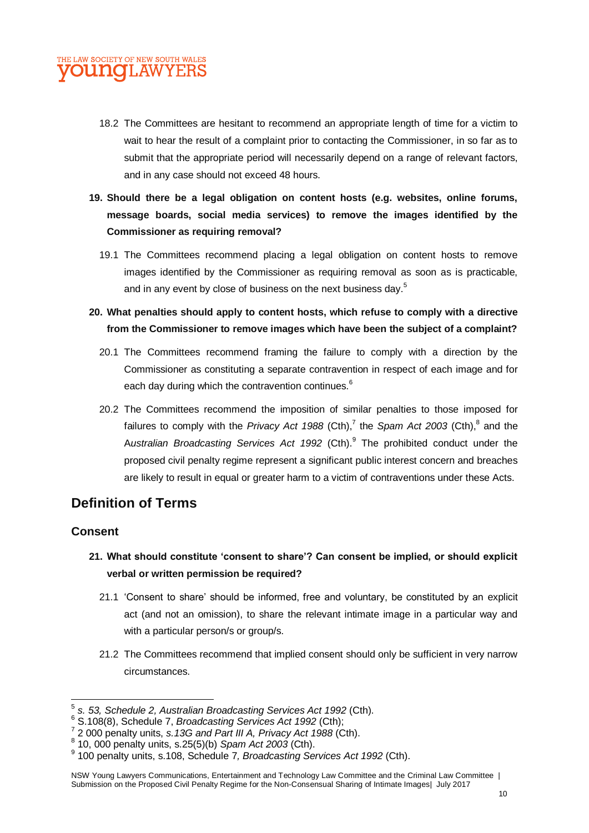## THE LAW SOCIETY OF NEW SOUTH WALES **UNOT.AW**

- 18.2 The Committees are hesitant to recommend an appropriate length of time for a victim to wait to hear the result of a complaint prior to contacting the Commissioner, in so far as to submit that the appropriate period will necessarily depend on a range of relevant factors, and in any case should not exceed 48 hours.
- **19. Should there be a legal obligation on content hosts (e.g. websites, online forums, message boards, social media services) to remove the images identified by the Commissioner as requiring removal?**
	- 19.1 The Committees recommend placing a legal obligation on content hosts to remove images identified by the Commissioner as requiring removal as soon as is practicable, and in any event by close of business on the next business day.<sup>5</sup>
- **20. What penalties should apply to content hosts, which refuse to comply with a directive from the Commissioner to remove images which have been the subject of a complaint?**
	- 20.1 The Committees recommend framing the failure to comply with a direction by the Commissioner as constituting a separate contravention in respect of each image and for each day during which the contravention continues.<sup>6</sup>
	- 20.2 The Committees recommend the imposition of similar penalties to those imposed for failures to comply with the *Privacy Act 1988* (Cth),<sup>7</sup> the *Spam Act 2003* (Cth),<sup>8</sup> and the A*ustralian Broadcasting Services Act 1992* (Cth). 9 The prohibited conduct under the proposed civil penalty regime represent a significant public interest concern and breaches are likely to result in equal or greater harm to a victim of contraventions under these Acts.

## **Definition of Terms**

#### **Consent**

**.** 

- **21. What should constitute 'consent to share'? Can consent be implied, or should explicit verbal or written permission be required?**
	- 21.1 'Consent to share' should be informed, free and voluntary, be constituted by an explicit act (and not an omission), to share the relevant intimate image in a particular way and with a particular person/s or group/s.
	- 21.2 The Committees recommend that implied consent should only be sufficient in very narrow circumstances.

<sup>5</sup> *s. 53, Schedule 2, Australian Broadcasting Services Act 1992* (Cth).

<sup>6</sup> S.108(8), Schedule 7, *Broadcasting Services Act 1992* (Cth);

<sup>7</sup> 2 000 penalty units, *s.13G and Part III A, Privacy Act 1988* (Cth).

<sup>8</sup> 10, 000 penalty units, s.25(5)(b) *Spam Act 2003* (Cth).

<sup>9</sup> 100 penalty units, s.108, Schedule 7*, Broadcasting Services Act 1992* (Cth).

NSW Young Lawyers Communications, Entertainment and Technology Law Committee and the Criminal Law Committee | Submission on the Proposed Civil Penalty Regime for the Non-Consensual Sharing of Intimate Images| July 2017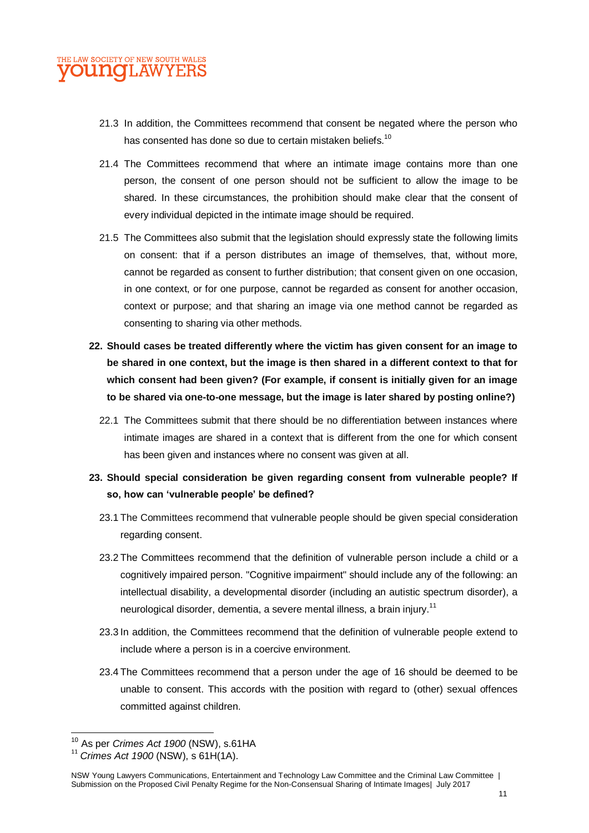- 21.3 In addition, the Committees recommend that consent be negated where the person who has consented has done so due to certain mistaken beliefs.<sup>10</sup>
- 21.4 The Committees recommend that where an intimate image contains more than one person, the consent of one person should not be sufficient to allow the image to be shared. In these circumstances, the prohibition should make clear that the consent of every individual depicted in the intimate image should be required.
- 21.5 The Committees also submit that the legislation should expressly state the following limits on consent: that if a person distributes an image of themselves, that, without more, cannot be regarded as consent to further distribution; that consent given on one occasion, in one context, or for one purpose, cannot be regarded as consent for another occasion, context or purpose; and that sharing an image via one method cannot be regarded as consenting to sharing via other methods.
- **22. Should cases be treated differently where the victim has given consent for an image to be shared in one context, but the image is then shared in a different context to that for which consent had been given? (For example, if consent is initially given for an image to be shared via one-to-one message, but the image is later shared by posting online?)**
	- 22.1 The Committees submit that there should be no differentiation between instances where intimate images are shared in a context that is different from the one for which consent has been given and instances where no consent was given at all.
- **23. Should special consideration be given regarding consent from vulnerable people? If so, how can 'vulnerable people' be defined?**
	- 23.1 The Committees recommend that vulnerable people should be given special consideration regarding consent.
	- 23.2 The Committees recommend that the definition of vulnerable person include a child or a cognitively impaired person. "Cognitive impairment" should include any of the following: an intellectual disability, a developmental disorder (including an autistic spectrum disorder), a neurological disorder, dementia, a severe mental illness, a brain injury.<sup>11</sup>
	- 23.3 In addition, the Committees recommend that the definition of vulnerable people extend to include where a person is in a coercive environment.
	- 23.4 The Committees recommend that a person under the age of 16 should be deemed to be unable to consent. This accords with the position with regard to (other) sexual offences committed against children.

 $\overline{a}$ <sup>10</sup> As per *Crimes Act 1900* (NSW), s.61HA

<sup>11</sup> *Crimes Act 1900* (NSW), s 61H(1A).

NSW Young Lawyers Communications, Entertainment and Technology Law Committee and the Criminal Law Committee | Submission on the Proposed Civil Penalty Regime for the Non-Consensual Sharing of Intimate Images| July 2017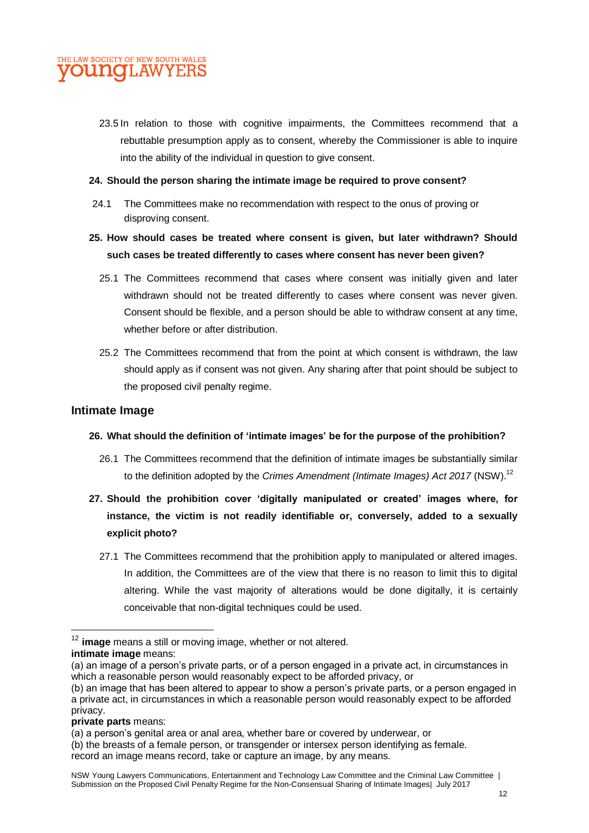

23.5 In relation to those with cognitive impairments, the Committees recommend that a rebuttable presumption apply as to consent, whereby the Commissioner is able to inquire into the ability of the individual in question to give consent.

#### **24. Should the person sharing the intimate image be required to prove consent?**

24.1 The Committees make no recommendation with respect to the onus of proving or disproving consent.

#### **25. How should cases be treated where consent is given, but later withdrawn? Should such cases be treated differently to cases where consent has never been given?**

- 25.1 The Committees recommend that cases where consent was initially given and later withdrawn should not be treated differently to cases where consent was never given. Consent should be flexible, and a person should be able to withdraw consent at any time, whether before or after distribution.
- 25.2 The Committees recommend that from the point at which consent is withdrawn, the law should apply as if consent was not given. Any sharing after that point should be subject to the proposed civil penalty regime.

#### **Intimate Image**

#### **26. What should the definition of 'intimate images' be for the purpose of the prohibition?**

- 26.1 The Committees recommend that the definition of intimate images be substantially similar to the definition adopted by the *Crimes Amendment (Intimate Images) Act 2017* (NSW). 12
- **27. Should the prohibition cover 'digitally manipulated or created' images where, for instance, the victim is not readily identifiable or, conversely, added to a sexually explicit photo?**
	- 27.1 The Committees recommend that the prohibition apply to manipulated or altered images. In addition, the Committees are of the view that there is no reason to limit this to digital altering. While the vast majority of alterations would be done digitally, it is certainly conceivable that non-digital techniques could be used.

#### **private parts** means:

**.** 

<sup>12</sup> **image** means a still or moving image, whether or not altered. **intimate image** means:

<sup>(</sup>a) an image of a person's private parts, or of a person engaged in a private act, in circumstances in which a reasonable person would reasonably expect to be afforded privacy, or

<sup>(</sup>b) an image that has been altered to appear to show a person's private parts, or a person engaged in a private act, in circumstances in which a reasonable person would reasonably expect to be afforded privacy.

<sup>(</sup>a) a person's genital area or anal area, whether bare or covered by underwear, or

<sup>(</sup>b) the breasts of a female person, or transgender or intersex person identifying as female. record an image means record, take or capture an image, by any means.

NSW Young Lawyers Communications, Entertainment and Technology Law Committee and the Criminal Law Committee | Submission on the Proposed Civil Penalty Regime for the Non-Consensual Sharing of Intimate Images| July 2017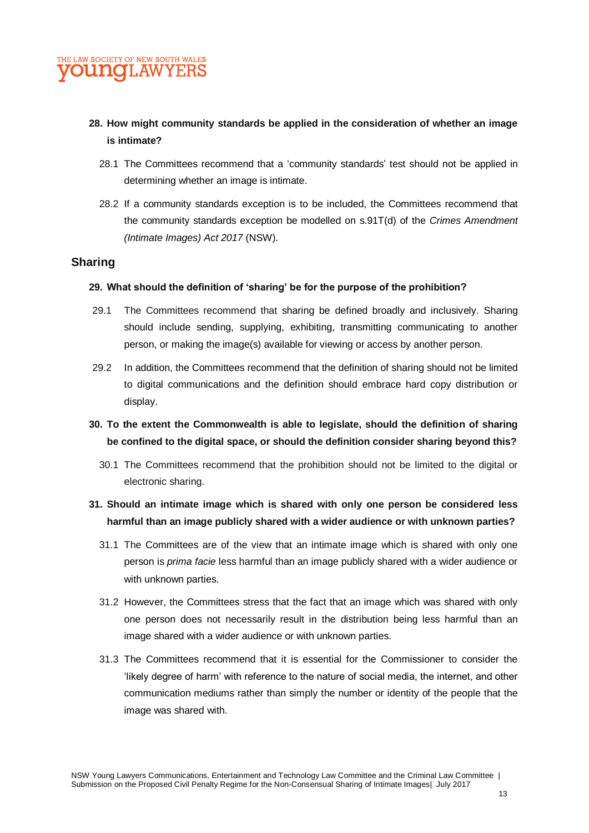#### **28. How might community standards be applied in the consideration of whether an image is intimate?**

- 28.1 The Committees recommend that a 'community standards' test should not be applied in determining whether an image is intimate.
- 28.2 If a community standards exception is to be included, the Committees recommend that the community standards exception be modelled on s.91T(d) of the *Crimes Amendment (Intimate Images) Act 2017* (NSW).

#### **Sharing**

#### **29. What should the definition of 'sharing' be for the purpose of the prohibition?**

- 29.1 The Committees recommend that sharing be defined broadly and inclusively. Sharing should include sending, supplying, exhibiting, transmitting communicating to another person, or making the image(s) available for viewing or access by another person.
- 29.2 In addition, the Committees recommend that the definition of sharing should not be limited to digital communications and the definition should embrace hard copy distribution or display.
- **30. To the extent the Commonwealth is able to legislate, should the definition of sharing be confined to the digital space, or should the definition consider sharing beyond this?**
	- 30.1 The Committees recommend that the prohibition should not be limited to the digital or electronic sharing.
- **31. Should an intimate image which is shared with only one person be considered less harmful than an image publicly shared with a wider audience or with unknown parties?**
	- 31.1 The Committees are of the view that an intimate image which is shared with only one person is *prima facie* less harmful than an image publicly shared with a wider audience or with unknown parties.
	- 31.2 However, the Committees stress that the fact that an image which was shared with only one person does not necessarily result in the distribution being less harmful than an image shared with a wider audience or with unknown parties.
	- 31.3 The Committees recommend that it is essential for the Commissioner to consider the 'likely degree of harm' with reference to the nature of social media, the internet, and other communication mediums rather than simply the number or identity of the people that the image was shared with.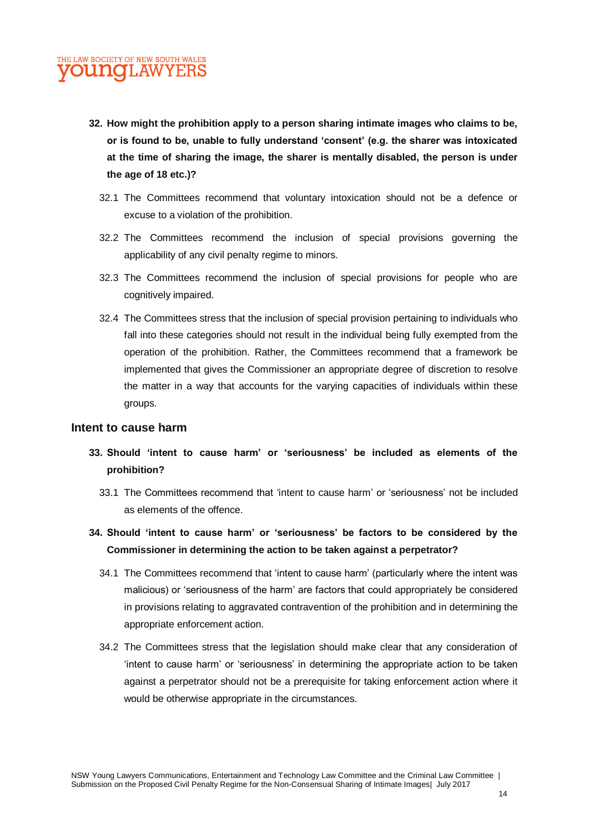- **32. How might the prohibition apply to a person sharing intimate images who claims to be, or is found to be, unable to fully understand 'consent' (e.g. the sharer was intoxicated at the time of sharing the image, the sharer is mentally disabled, the person is under the age of 18 etc.)?**
	- 32.1 The Committees recommend that voluntary intoxication should not be a defence or excuse to a violation of the prohibition.
	- 32.2 The Committees recommend the inclusion of special provisions governing the applicability of any civil penalty regime to minors.
	- 32.3 The Committees recommend the inclusion of special provisions for people who are cognitively impaired.
	- 32.4 The Committees stress that the inclusion of special provision pertaining to individuals who fall into these categories should not result in the individual being fully exempted from the operation of the prohibition. Rather, the Committees recommend that a framework be implemented that gives the Commissioner an appropriate degree of discretion to resolve the matter in a way that accounts for the varying capacities of individuals within these groups.

#### **Intent to cause harm**

- **33. Should 'intent to cause harm' or 'seriousness' be included as elements of the prohibition?**
	- 33.1 The Committees recommend that 'intent to cause harm' or 'seriousness' not be included as elements of the offence.
- **34. Should 'intent to cause harm' or 'seriousness' be factors to be considered by the Commissioner in determining the action to be taken against a perpetrator?**
	- 34.1 The Committees recommend that 'intent to cause harm' (particularly where the intent was malicious) or 'seriousness of the harm' are factors that could appropriately be considered in provisions relating to aggravated contravention of the prohibition and in determining the appropriate enforcement action.
	- 34.2 The Committees stress that the legislation should make clear that any consideration of 'intent to cause harm' or 'seriousness' in determining the appropriate action to be taken against a perpetrator should not be a prerequisite for taking enforcement action where it would be otherwise appropriate in the circumstances.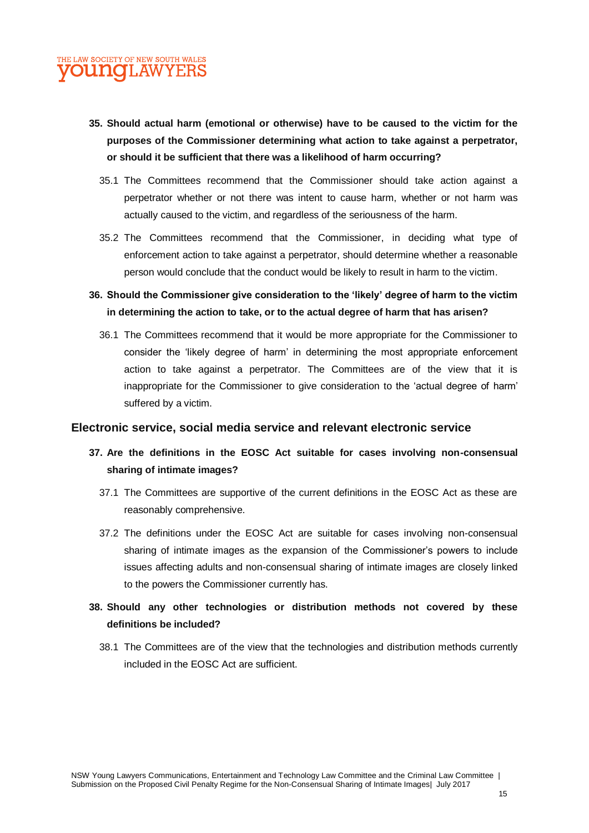- **35. Should actual harm (emotional or otherwise) have to be caused to the victim for the purposes of the Commissioner determining what action to take against a perpetrator, or should it be sufficient that there was a likelihood of harm occurring?** 
	- 35.1 The Committees recommend that the Commissioner should take action against a perpetrator whether or not there was intent to cause harm, whether or not harm was actually caused to the victim, and regardless of the seriousness of the harm.
	- 35.2 The Committees recommend that the Commissioner, in deciding what type of enforcement action to take against a perpetrator, should determine whether a reasonable person would conclude that the conduct would be likely to result in harm to the victim.
- **36. Should the Commissioner give consideration to the 'likely' degree of harm to the victim in determining the action to take, or to the actual degree of harm that has arisen?**
	- 36.1 The Committees recommend that it would be more appropriate for the Commissioner to consider the 'likely degree of harm' in determining the most appropriate enforcement action to take against a perpetrator. The Committees are of the view that it is inappropriate for the Commissioner to give consideration to the 'actual degree of harm' suffered by a victim.

#### **Electronic service, social media service and relevant electronic service**

- **37. Are the definitions in the EOSC Act suitable for cases involving non-consensual sharing of intimate images?**
	- 37.1 The Committees are supportive of the current definitions in the EOSC Act as these are reasonably comprehensive.
	- 37.2 The definitions under the EOSC Act are suitable for cases involving non-consensual sharing of intimate images as the expansion of the Commissioner's powers to include issues affecting adults and non-consensual sharing of intimate images are closely linked to the powers the Commissioner currently has.
- **38. Should any other technologies or distribution methods not covered by these definitions be included?**
	- 38.1 The Committees are of the view that the technologies and distribution methods currently included in the EOSC Act are sufficient.